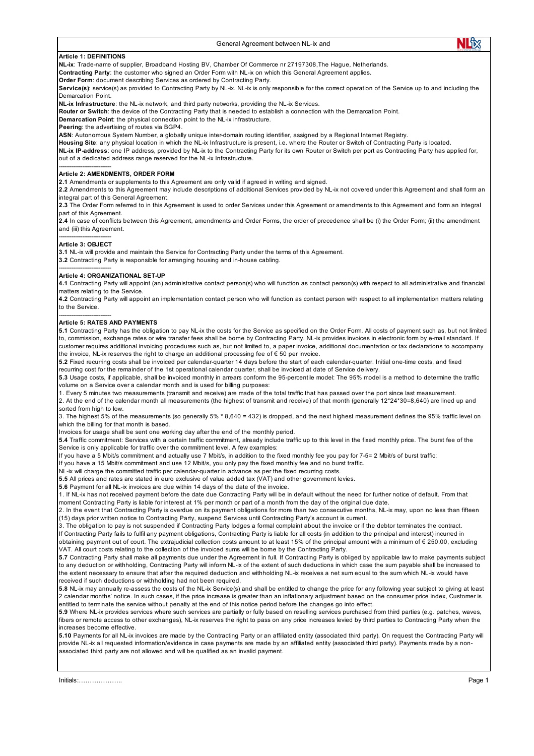## General Agreement between NL-ix and

# **Article 1: DEFINITIONS**

**NL-ix**: Trade-name of supplier, Broadband Hosting BV, Chamber Of Commerce nr 27197308,The Hague, Netherlands.

**Contracting Party**: the customer who signed an Order Form with NL-ix on which this General Agreement applies.

**Order Form: document describing Services as ordered by Contracting Party.** 

**Service(s)**: service(s) as provided to Contracting Party by NL-ix. NL-ix is only responsible for the correct operation of the Service up to and including the Demarcation Point.

**NL-ix Infrastructure**: the NL-ix network, and third party networks, providing the NL-ix Services.

**Router or Switch**: the device of the Contracting Party that is needed to establish a connection with the Demarcation Point.

**Demarcation Point**: the physical connection point to the NL-ix infrastructure.

**Peering**: the advertising of routes via BGP4.

ASN: Autonomous System Number, a globally unique inter-domain routing identifier, assigned by a Regional Internet Registry.

**Housing Site**: any physical location in which the NL-ix Infrastructure is present, i.e. where the Router or Switch of Contracting Party is located.

**NL-ix IP-address**: one IP address, provided by NL-ix to the Contracting Party for its own Router or Switch per port as Contracting Party has applied for, out of a dedicated address range reserved for the NL-ix Infrastructure.

# **Article 2: AMENDMENTS, ORDER FORM**

**2.1** Amendments or supplements to this Agreement are only valid if agreed in writing and signed.

**2.2** Amendments to this Agreement may include descriptions of additional Services provided by NL-ix not covered under this Agreement and shall form an integral part of this General Agreement.

**2.3** The Order Form referred to in this Agreement is used to order Services under this Agreement or amendments to this Agreement and form an integral part of this Agreement.

**2.4** In case of conflicts between this Agreement, amendments and Order Forms, the order of precedence shall be (i) the Order Form; (ii) the amendment and (iii) this Agreement.

#### ----------------------------- **Article 3: OBJECT**

-----------------------------

-----------------------------

-----------------------------

**3.1** NL-ix will provide and maintain the Service for Contracting Party under the terms of this Agreement.

**3.2** Contracting Party is responsible for arranging housing and in-house cabling.

# **Article 4: ORGANIZATIONAL SET-UP**

**4.1** Contracting Party will appoint (an) administrative contact person(s) who will function as contact person(s) with respect to all administrative and financial matters relating to the Service.

**4.2** Contracting Party will appoint an implementation contact person who will function as contact person with respect to all implementation matters relating to the Service.

# **Article 5: RATES AND PAYMENTS**

**5.1** Contracting Party has the obligation to pay NL-ix the costs for the Service as specified on the Order Form. All costs of payment such as, but not limited to, commission, exchange rates or wire transfer fees shall be borne by Contracting Party. NL-ix provides invoices in electronic form by e-mail standard. If customer requires additional invoicing procedures such as, but not limited to, a paper invoice, additional documentation or tax declarations to accompany the invoice, NL-ix reserves the right to charge an additional processing fee of € 50 per invoice.

**5.2** Fixed recurring costs shall be invoiced per calendar-quarter 14 days before the start of each calendar-quarter. Initial one-time costs, and fixed recurring cost for the remainder of the 1st operational calendar quarter, shall be invoiced at date of Service delivery.

**5.3** Usage costs, if applicable, shall be invoiced monthly in arrears conform the 95-percentile model: The 95% model is a method to determine the traffic volume on a Service over a calendar month and is used for billing purposes:

1. Every 5 minutes two measurements (transmit and receive) are made of the total traffic that has passed over the port since last measurement. 2. At the end of the calendar month all measurements (the highest of transmit and receive) of that month (generally 12\*24\*30=8,640) are lined up and

sorted from high to low.

3. The highest 5% of the measurements (so generally 5% \* 8,640 = 432) is dropped, and the next highest measurement defines the 95% traffic level on which the billing for that month is based.

Invoices for usage shall be sent one working day after the end of the monthly period.

**5.4** Traffic commitment: Services with a certain traffic commitment, already include traffic up to this level in the fixed monthly price. The burst fee of the Service is only applicable for traffic over the commitment level. A few examples:

If you have a 5 Mbit/s commitment and actually use 7 Mbit/s, in addition to the fixed monthly fee you pay for 7-5= 2 Mbit/s of burst traffic;

If you have a 15 Mbit/s commitment and use 12 Mbit/s, you only pay the fixed monthly fee and no burst traffic.

NL-ix will charge the committed traffic per calendar-quarter in advance as per the fixed recurring costs.

**5.5** All prices and rates are stated in euro exclusive of value added tax (VAT) and other government levies.

**5.6** Payment for all NL-ix invoices are due within 14 days of the date of the invoice.

1. If NL-ix has not received payment before the date due Contracting Party will be in default without the need for further notice of default. From that moment Contracting Party is liable for interest at 1% per month or part of a month from the day of the original due date.

2. In the event that Contracting Party is overdue on its payment obligations for more than two consecutive months, NL-ix may, upon no less than fifteen (15) days prior written notice to Contracting Party, suspend Services until Contracting Party's account is current.

3. The obligation to pay is not suspended if Contracting Party lodges a formal complaint about the invoice or if the debtor terminates the contract.

If Contracting Party fails to fulfil any payment obligations, Contracting Party is liable for all costs (in addition to the principal and interest) incurred in

obtaining payment out of court. The extrajudicial collection costs amount to at least 15% of the principal amount with a minimum of € 250.00, excluding VAT. All court costs relating to the collection of the invoiced sums will be borne by the Contracting Party.

**5.7** Contracting Party shall make all payments due under the Agreement in full. If Contracting Party is obliged by applicable law to make payments subject to any deduction or withholding, Contracting Party will inform NL-ix of the extent of such deductions in which case the sum payable shall be increased to the extent necessary to ensure that after the required deduction and withholding NL-ix receives a net sum equal to the sum which NL-ix would have received if such deductions or withholding had not been required.

**5.8** NL-ix may annually re-assess the costs of the NL-ix Service(s) and shall be entitled to change the price for any following year subject to giving at least 2 calendar months' notice. In such cases, if the price increase is greater than an inflationary adjustment based on the consumer price index, Customer is entitled to terminate the service without penalty at the end of this notice period before the changes go into effect.

**5.9** Where NL-ix provides services where such services are partially or fully based on reselling services purchased from third parties (e.g. patches, waves, fibers or remote access to other exchanges), NL-ix reserves the right to pass on any price increases levied by third parties to Contracting Party when the increases become effective.

**5.10** Payments for all NL-ix invoices are made by the Contracting Party or an affiliated entity (associated third party). On request the Contracting Party will provide NL-ix all requested information/evidence in case payments are made by an affiliated entity (associated third party). Payments made by a nonassociated third party are not allowed and will be qualified as an invalid payment.

Initials:……………….. Page 1

NLfx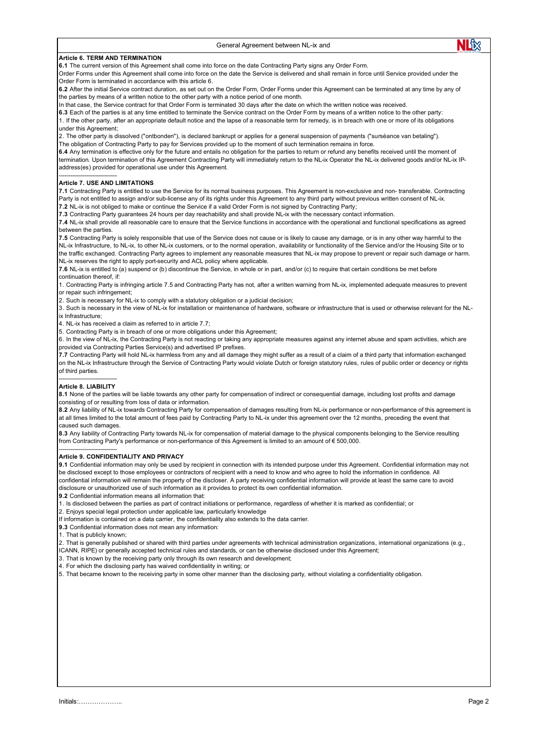# **Article 6. TERM AND TERMINATION**

**6.1** The current version of this Agreement shall come into force on the date Contracting Party signs any Order Form.

Order Forms under this Agreement shall come into force on the date the Service is delivered and shall remain in force until Service provided under the Order Form is terminated in accordance with this article 6.

**6.2** After the initial Service contract duration, as set out on the Order Form, Order Forms under this Agreement can be terminated at any time by any of the parties by means of a written notice to the other party with a notice period of one month.

In that case, the Service contract for that Order Form is terminated 30 days after the date on which the written notice was received.

**6.3** Each of the parties is at any time entitled to terminate the Service contract on the Order Form by means of a written notice to the other party: 1. If the other party, after an appropriate default notice and the lapse of a reasonable term for remedy, is in breach with one or more of its obligations under this Agreement;

2. The other party is dissolved ("ontbonden"), is declared bankrupt or applies for a general suspension of payments ("surséance van betaling"). The obligation of Contracting Party to pay for Services provided up to the moment of such termination remains in force.

**6.4** Any termination is effective only for the future and entails no obligation for the parties to return or refund any benefits received until the moment of termination. Upon termination of this Agreement Contracting Party will immediately return to the NL-ix Operator the NL-ix delivered goods and/or NL-ix IPaddress(es) provided for operational use under this Agreement.

#### ----------------------------- **Article 7. USE AND LIMITATIONS**

**7.1** Contracting Party is entitled to use the Service for its normal business purposes. This Agreement is non-exclusive and non- transferable. Contracting Party is not entitled to assign and/or sub-license any of its rights under this Agreement to any third party without previous written consent of NL-ix.

**7.2** NL-ix is not obliged to make or continue the Service if a valid Order Form is not signed by Contracting Party;

**7.3** Contracting Party guarantees 24 hours per day reachability and shall provide NL-ix with the necessary contact information.

**7.4** NL-ix shall provide all reasonable care to ensure that the Service functions in accordance with the operational and functional specifications as agreed between the parties.

**7.5** Contracting Party is solely responsible that use of the Service does not cause or is likely to cause any damage, or is in any other way harmful to the NL-ix Infrastructure, to NL-ix, to other NL-ix customers, or to the normal operation, availability or functionality of the Service and/or the Housing Site or to the traffic exchanged. Contracting Party agrees to implement any reasonable measures that NL-ix may propose to prevent or repair such damage or harm. NL-ix reserves the right to apply port-security and ACL policy where applicable.

**7.6** NL-ix is entitled to (a) suspend or (b) discontinue the Service, in whole or in part, and/or (c) to require that certain conditions be met before continuation thereof, if:

1. Contracting Party is infringing article 7.5 and Contracting Party has not, after a written warning from NL-ix, implemented adequate measures to prevent or repair such infringement;

2. Such is necessary for NL-ix to comply with a statutory obligation or a judicial decision;

3. Such is necessary in the view of NL-ix for installation or maintenance of hardware, software or infrastructure that is used or otherwise relevant for the NLix Infrastructure;

 $4$ . NL-ix has received a claim as referred to in article 7.7;

5. Contracting Party is in breach of one or more obligations under this Agreement;

6. In the view of NL-ix, the Contracting Party is not reacting or taking any appropriate measures against any internet abuse and spam activities, which are provided via Contracting Parties Service(s) and advertised IP prefixes.

**7.7** Contracting Party will hold NL-ix harmless from any and all damage they might suffer as a result of a claim of a third party that information exchanged on the NL-ix Infrastructure through the Service of Contracting Party would violate Dutch or foreign statutory rules, rules of public order or decency or rights of third parties.

#### ----------------------------- **Article 8. LIABILITY**

**8.1** None of the parties will be liable towards any other party for compensation of indirect or consequential damage, including lost profits and damage consisting of or resulting from loss of data or information.

**8.2** Any liability of NL-ix towards Contracting Party for compensation of damages resulting from NL-ix performance or non-performance of this agreement is at all times limited to the total amount of fees paid by Contracting Party to NL-ix under this agreement over the 12 months, preceding the event that caused such damages.

**8.3** Any liability of Contracting Party towards NL-ix for compensation of material damage to the physical components belonging to the Service resulting from Contracting Party's performance or non-performance of this Agreement is limited to an amount of € 500,000.

## ----------------------------- **Article 9. CONFIDENTIALITY AND PRIVACY**

**9.1** Confidential information may only be used by recipient in connection with its intended purpose under this Agreement. Confidential information may not be disclosed except to those employees or contractors of recipient with a need to know and who agree to hold the information in confidence. All confidential information will remain the property of the discloser. A party receiving confidential information will provide at least the same care to avoid disclosure or unauthorized use of such information as it provides to protect its own confidential information.

**9.2** Confidential information means all information that:

1. Is disclosed between the parties as part of contract initiations or performance, regardless of whether it is marked as confidential; or

2. Enjoys special legal protection under applicable law, particularly knowledge

If information is contained on a data carrier, the confidentiality also extends to the data carrier.

**9.3** Confidential information does not mean any information:

1. That is publicly known;

2. That is generally published or shared with third parties under agreements with technical administration organizations, international organizations (e.g.,

ICANN, RIPE) or generally accepted technical rules and standards, or can be otherwise disclosed under this Agreement;

3. That is known by the receiving party only through its own research and development;

4. For which the disclosing party has waived confidentiality in writing; or

5. That became known to the receiving party in some other manner than the disclosing party, without violating a confidentiality obligation.